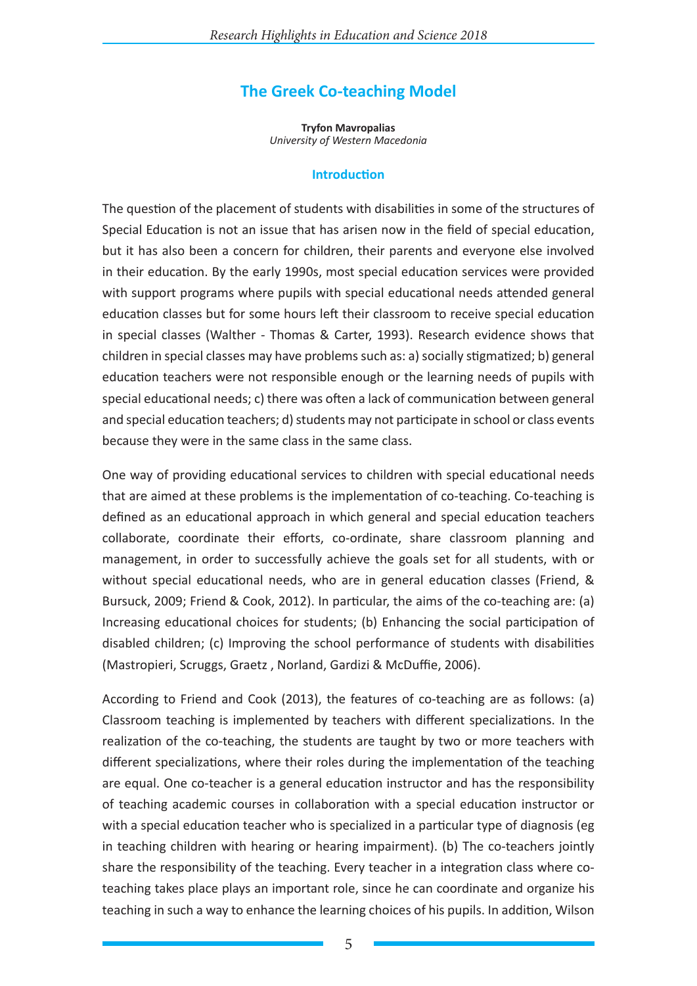# **The Greek Co-teaching Model**

**Tryfon Mavropalias** *University of Western Macedonia*

#### **Introduction**

The question of the placement of students with disabilities in some of the structures of Special Education is not an issue that has arisen now in the field of special education, but it has also been a concern for children, their parents and everyone else involved in their education. By the early 1990s, most special education services were provided with support programs where pupils with special educational needs attended general education classes but for some hours left their classroom to receive special education in special classes (Walther - Thomas & Carter, 1993). Research evidence shows that children in special classes may have problems such as: a) socially stigmatized; b) general education teachers were not responsible enough or the learning needs of pupils with special educational needs; c) there was often a lack of communication between general and special education teachers; d) students may not participate in school or class events because they were in the same class in the same class.

One way of providing educational services to children with special educational needs that are aimed at these problems is the implementation of co-teaching. Co-teaching is defined as an educational approach in which general and special education teachers collaborate, coordinate their efforts, co-ordinate, share classroom planning and management, in order to successfully achieve the goals set for all students, with or without special educational needs, who are in general education classes (Friend, & Bursuck, 2009; Friend & Cook, 2012). In particular, the aims of the co-teaching are: (a) Increasing educational choices for students; (b) Enhancing the social participation of disabled children; (c) Improving the school performance of students with disabilities (Mastropieri, Scruggs, Graetz , Norland, Gardizi & McDuffie, 2006).

According to Friend and Cook (2013), the features of co-teaching are as follows: (a) Classroom teaching is implemented by teachers with different specializations. In the realization of the co-teaching, the students are taught by two or more teachers with different specializations, where their roles during the implementation of the teaching are equal. One co-teacher is a general education instructor and has the responsibility of teaching academic courses in collaboration with a special education instructor or with a special education teacher who is specialized in a particular type of diagnosis (eg in teaching children with hearing or hearing impairment). (b) The co-teachers jointly share the responsibility of the teaching. Every teacher in a integration class where coteaching takes place plays an important role, since he can coordinate and organize his teaching in such a way to enhance the learning choices of his pupils. In addition, Wilson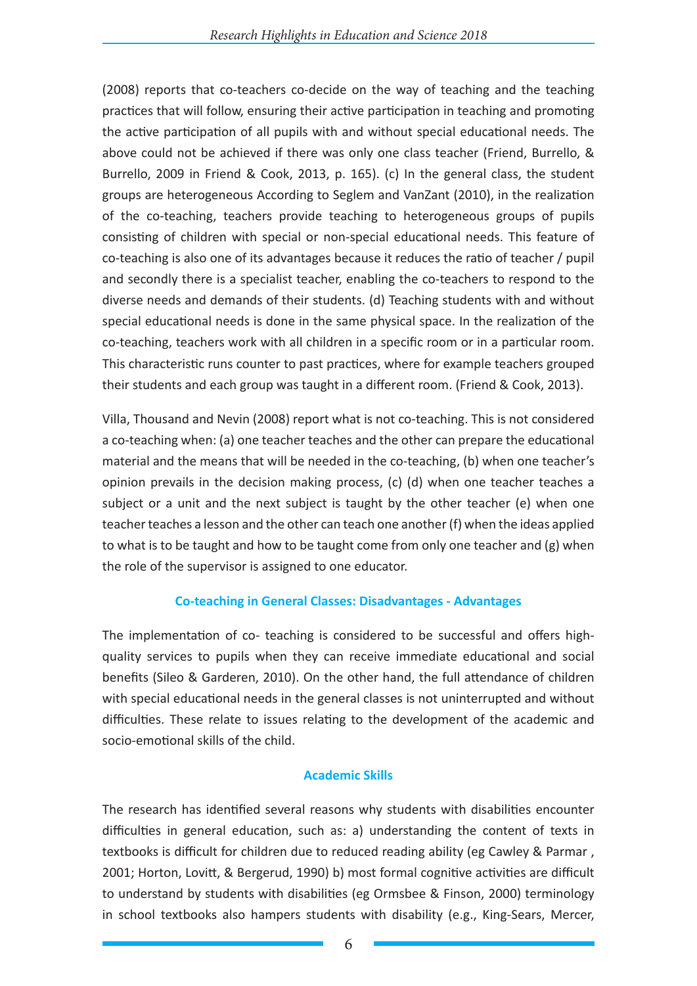(2008) reports that co-teachers co-decide on the way of teaching and the teaching practices that will follow, ensuring their active participation in teaching and promoting the active participation of all pupils with and without special educational needs. The above could not be achieved if there was only one class teacher (Friend, Burrello, & Burrello, 2009 in Friend & Cook, 2013, p. 165). (c) In the general class, the student groups are heterogeneous According to Seglem and VanZant (2010), in the realization of the co-teaching, teachers provide teaching to heterogeneous groups of pupils consisting of children with special or non-special educational needs. This feature of co-teaching is also one of its advantages because it reduces the ratio of teacher / pupil and secondly there is a specialist teacher, enabling the co-teachers to respond to the diverse needs and demands of their students. (d) Teaching students with and without special educational needs is done in the same physical space. In the realization of the co-teaching, teachers work with all children in a specific room or in a particular room. This characteristic runs counter to past practices, where for example teachers grouped their students and each group was taught in a different room. (Friend & Cook, 2013).

Villa, Thousand and Nevin (2008) report what is not co-teaching. This is not considered a co-teaching when: (a) one teacher teaches and the other can prepare the educational material and the means that will be needed in the co-teaching, (b) when one teacher's opinion prevails in the decision making process, (c) (d) when one teacher teaches a subject or a unit and the next subject is taught by the other teacher (e) when one teacher teaches a lesson and the other can teach one another (f) when the ideas applied to what is to be taught and how to be taught come from only one teacher and (g) when the role of the supervisor is assigned to one educator.

#### **Co-teaching in General Classes: Disadvantages - Advantages**

The implementation of co- teaching is considered to be successful and offers highquality services to pupils when they can receive immediate educational and social benefits (Sileo & Garderen, 2010). On the other hand, the full attendance of children with special educational needs in the general classes is not uninterrupted and without difficulties. These relate to issues relating to the development of the academic and socio-emotional skills of the child.

#### **Academic Skills**

The research has identified several reasons why students with disabilities encounter difficulties in general education, such as: a) understanding the content of texts in textbooks is difficult for children due to reduced reading ability (eg Cawley & Parmar , 2001; Horton, Lovitt, & Bergerud, 1990) b) most formal cognitive activities are difficult to understand by students with disabilities (eg Ormsbee & Finson, 2000) terminology in school textbooks also hampers students with disability (e.g., King-Sears, Mercer,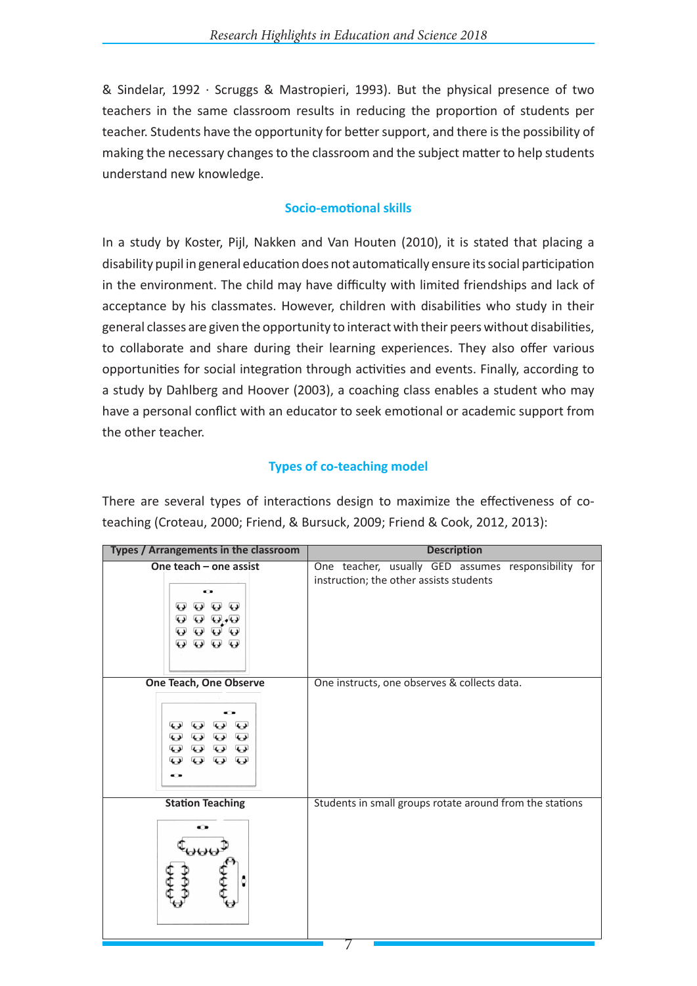& Sindelar, 1992 · Scruggs & Mastropieri, 1993). But the physical presence of two teachers in the same classroom results in reducing the proportion of students per teacher. Students have the opportunity for better support, and there is the possibility of making the necessary changes to the classroom and the subject matter to help students understand new knowledge.

## **Socio-emotional skills**

In a study by Koster, Pijl, Nakken and Van Houten (2010), it is stated that placing a disability pupil in general education does not automatically ensure its social participation in the environment. The child may have difficulty with limited friendships and lack of acceptance by his classmates. However, children with disabilities who study in their general classes are given the opportunity to interact with their peers without disabilities, to collaborate and share during their learning experiences. They also offer various opportunities for social integration through activities and events. Finally, according to a study by Dahlberg and Hoover (2003), a coaching class enables a student who may have a personal conflict with an educator to seek emotional or academic support from the other teacher.

# **Types of co-teaching model**

There are several types of interactions design to maximize the effectiveness of coteaching (Croteau, 2000; Friend, & Bursuck, 2009; Friend & Cook, 2012, 2013):

| Types / Arrangements in the classroom                                                                                                    | <b>Description</b>                                                                             |  |  |  |
|------------------------------------------------------------------------------------------------------------------------------------------|------------------------------------------------------------------------------------------------|--|--|--|
| One teach - one assist<br>o<br>O ⊙<br>⊌<br>$\leftrightarrow$<br>$Q$ $Q$ $Q$<br><b>0000</b><br><b>0000</b>                                | One teacher, usually GED assumes responsibility for<br>instruction; the other assists students |  |  |  |
| <b>One Teach, One Observe</b><br>$\mathbf{\Theta}$<br>ا د په<br>لوپها<br><b>0000</b><br>9 9 9 9<br><b>Q Q Q</b><br>$\boldsymbol{\omega}$ | One instructs, one observes & collects data.                                                   |  |  |  |
| <b>Station Teaching</b><br>⊷<br>106                                                                                                      | Students in small groups rotate around from the stations                                       |  |  |  |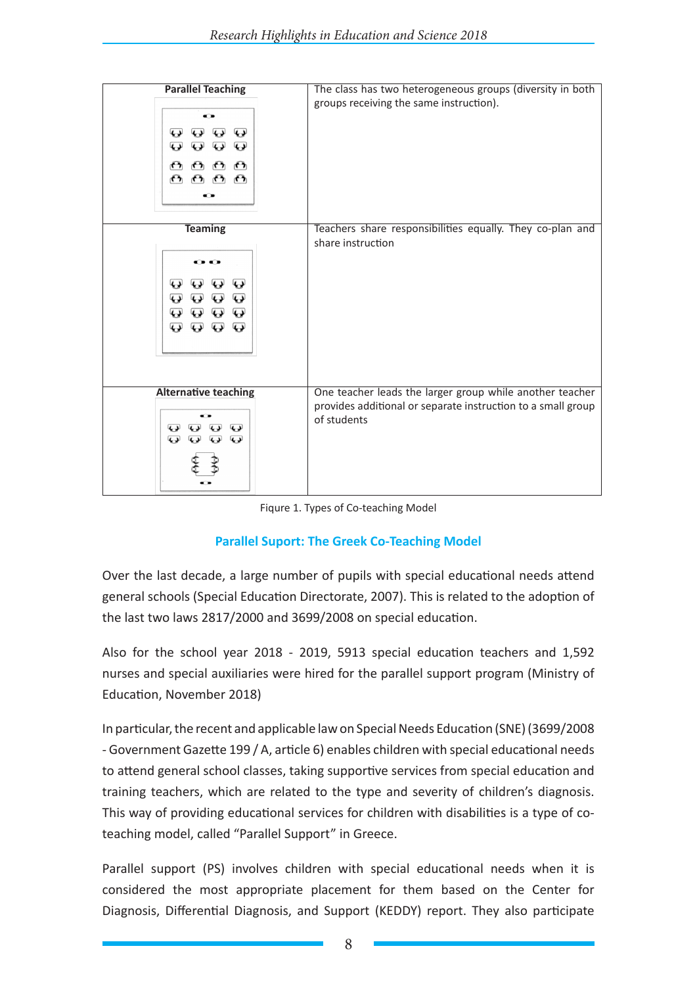| <b>Parallel Teaching</b><br>⊷<br>$\overline{\mathbf{L}}$<br>لډيها<br>⇔<br>$\overline{\mathbf{C}}$<br>$\overline{\mathbf{L}}$<br>$\overline{\mathbf{L}}$<br>$\Theta$<br>ሮት<br>$\mathbf{r}$<br>∩<br>ᠻᡃ<br>$\mathbf{r}$<br>ለ ነ                                                                                                                        | The class has two heterogeneous groups (diversity in both<br>groups receiving the same instruction).                                    |
|----------------------------------------------------------------------------------------------------------------------------------------------------------------------------------------------------------------------------------------------------------------------------------------------------------------------------------------------------|-----------------------------------------------------------------------------------------------------------------------------------------|
| <b>Teaming</b><br>- 1<br>$\mathbf{\Theta}$<br>لوپها<br>$\mathbf{\omega}$<br>$\mathbf{\Theta}$<br>$\boldsymbol{\omega}$<br>$\boldsymbol{\omega}$<br>$\bf \bm \omega$<br>$\overline{\mathbf{C}}$<br>$\bf \bm \omega$<br>$\bf \bm \omega$<br>$\overline{\mathbf{C}}$<br>$\boldsymbol{\Theta}$<br>$\bf \bm \omega$<br>$\bf \bm \omega$<br>$\mathbf{Q}$ | Teachers share responsibilities equally. They co-plan and<br>share instruction                                                          |
| <b>Alternative teaching</b><br>$\overline{\mathbf{C}}$<br>نډ په<br>$\overline{\mathbf{L}}$<br>$\overline{\mathbf{C}}$<br>$\overline{\mathbf{C}}$<br>$\overline{\mathbf{C}}$                                                                                                                                                                        | One teacher leads the larger group while another teacher<br>provides additional or separate instruction to a small group<br>of students |

Fiqure 1. Types of Co-teaching Model

# **Parallel Suport: The Greek Co-Teaching Model**

Over the last decade, a large number of pupils with special educational needs attend general schools (Special Education Directorate, 2007). This is related to the adoption of the last two laws 2817/2000 and 3699/2008 on special education.

Also for the school year 2018 - 2019, 5913 special education teachers and 1,592 nurses and special auxiliaries were hired for the parallel support program (Ministry of Education, November 2018)

In particular, the recent and applicable law on Special Needs Education (SNE) (3699/2008 - Government Gazette 199 / Α, article 6) enables children with special educational needs to attend general school classes, taking supportive services from special education and training teachers, which are related to the type and severity of children's diagnosis. This way of providing educational services for children with disabilities is a type of coteaching model, called "Parallel Support" in Greece.

Parallel support (PS) involves children with special educational needs when it is considered the most appropriate placement for them based on the Center for Diagnosis, Differential Diagnosis, and Support (KEDDY) report. They also participate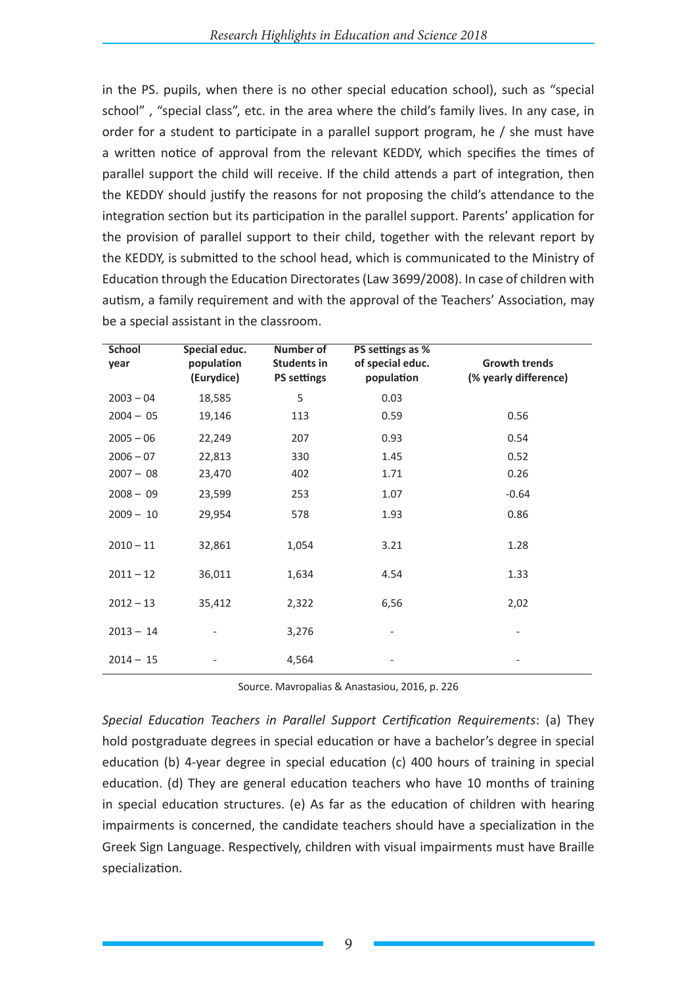in the PS. pupils, when there is no other special education school), such as "special school" , "special class", etc. in the area where the child's family lives. In any case, in order for a student to participate in a parallel support program, he / she must have a written notice of approval from the relevant KEDDY, which specifies the times of parallel support the child will receive. If the child attends a part of integration, then the KEDDY should justify the reasons for not proposing the child's attendance to the integration section but its participation in the parallel support. Parents' application for the provision of parallel support to their child, together with the relevant report by the KEDDY, is submitted to the school head, which is communicated to the Ministry of Education through the Education Directorates (Law 3699/2008). In case of children with autism, a family requirement and with the approval of the Teachers' Association, may be a special assistant in the classroom.

| <b>School</b><br>year | Special educ.<br>population<br>(Eurydice) | Number of<br><b>Students in</b><br><b>PS settings</b> | PS settings as %<br>of special educ.<br>population | <b>Growth trends</b><br>(% yearly difference) |
|-----------------------|-------------------------------------------|-------------------------------------------------------|----------------------------------------------------|-----------------------------------------------|
| $2003 - 04$           | 18,585                                    | 5                                                     | 0.03                                               |                                               |
| $2004 - 05$           | 19,146                                    | 113                                                   | 0.59                                               | 0.56                                          |
| $2005 - 06$           | 22,249                                    | 207                                                   | 0.93                                               | 0.54                                          |
| $2006 - 07$           | 22,813                                    | 330                                                   | 1.45                                               | 0.52                                          |
| $2007 - 08$           | 23,470                                    | 402                                                   | 1.71                                               | 0.26                                          |
| $2008 - 09$           | 23,599                                    | 253                                                   | 1.07                                               | $-0.64$                                       |
| $2009 - 10$           | 29,954                                    | 578                                                   | 1.93                                               | 0.86                                          |
| $2010 - 11$           | 32,861                                    | 1,054                                                 | 3.21                                               | 1.28                                          |
| $2011 - 12$           | 36,011                                    | 1,634                                                 | 4.54                                               | 1.33                                          |
| $2012 - 13$           | 35,412                                    | 2,322                                                 | 6,56                                               | 2,02                                          |
| $2013 - 14$           |                                           | 3,276                                                 |                                                    |                                               |
| $2014 - 15$           |                                           | 4,564                                                 |                                                    |                                               |

Source. Mavropalias & Anastasiou, 2016, p. 226

*Special Education Teachers in Parallel Support Certification Requirements*: (a) They hold postgraduate degrees in special education or have a bachelor's degree in special education (b) 4-year degree in special education (c) 400 hours of training in special education. (d) They are general education teachers who have 10 months of training in special education structures. (e) As far as the education of children with hearing impairments is concerned, the candidate teachers should have a specialization in the Greek Sign Language. Respectively, children with visual impairments must have Braille specialization.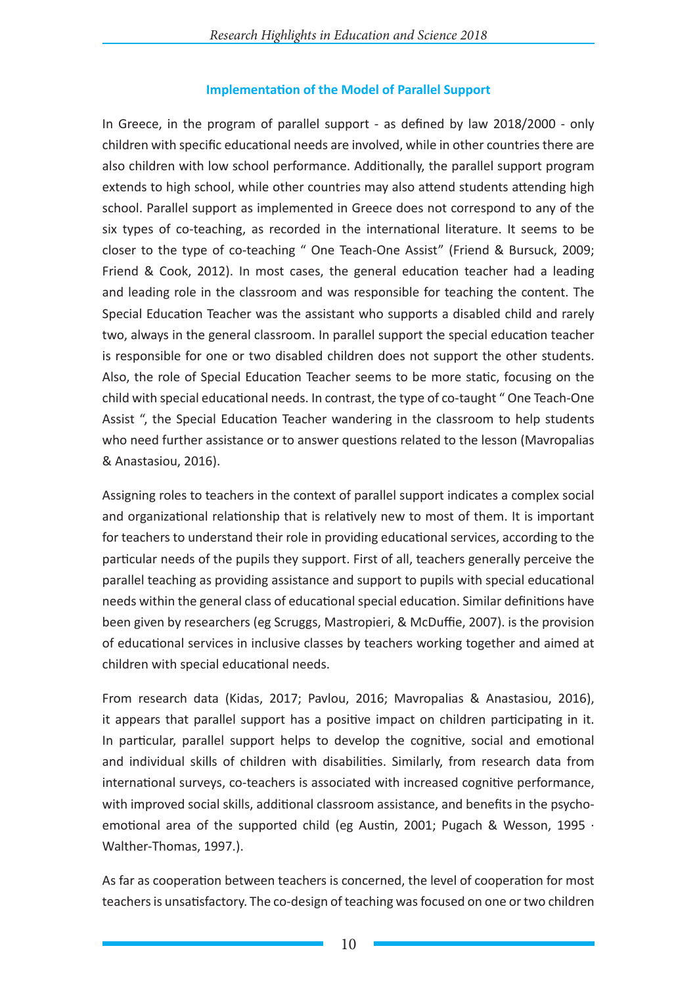# **Implementation of the Model of Parallel Support**

In Greece, in the program of parallel support - as defined by law 2018/2000 - only children with specific educational needs are involved, while in other countries there are also children with low school performance. Additionally, the parallel support program extends to high school, while other countries may also attend students attending high school. Parallel support as implemented in Greece does not correspond to any of the six types of co-teaching, as recorded in the international literature. It seems to be closer to the type of co-teaching " One Teach-One Assist" (Friend & Bursuck, 2009; Friend & Cook, 2012). In most cases, the general education teacher had a leading and leading role in the classroom and was responsible for teaching the content. The Special Education Teacher was the assistant who supports a disabled child and rarely two, always in the general classroom. In parallel support the special education teacher is responsible for one or two disabled children does not support the other students. Also, the role of Special Education Teacher seems to be more static, focusing on the child with special educational needs. In contrast, the type of co-taught " One Teach-One Assist ", the Special Education Teacher wandering in the classroom to help students who need further assistance or to answer questions related to the lesson (Mavropalias & Anastasiou, 2016).

Assigning roles to teachers in the context of parallel support indicates a complex social and organizational relationship that is relatively new to most of them. It is important for teachers to understand their role in providing educational services, according to the particular needs of the pupils they support. First of all, teachers generally perceive the parallel teaching as providing assistance and support to pupils with special educational needs within the general class of educational special education. Similar definitions have been given by researchers (eg Scruggs, Mastropieri, & McDuffie, 2007). is the provision of educational services in inclusive classes by teachers working together and aimed at children with special educational needs.

From research data (Kidas, 2017; Pavlou, 2016; Mavropalias & Anastasiou, 2016), it appears that parallel support has a positive impact on children participating in it. In particular, parallel support helps to develop the cognitive, social and emotional and individual skills of children with disabilities. Similarly, from research data from international surveys, co-teachers is associated with increased cognitive performance, with improved social skills, additional classroom assistance, and benefits in the psychoemotional area of the supported child (eg Austin, 2001; Pugach & Wesson, 1995 · Walther-Thomas, 1997.).

As far as cooperation between teachers is concerned, the level of cooperation for most teachers is unsatisfactory. The co-design of teaching was focused on one or two children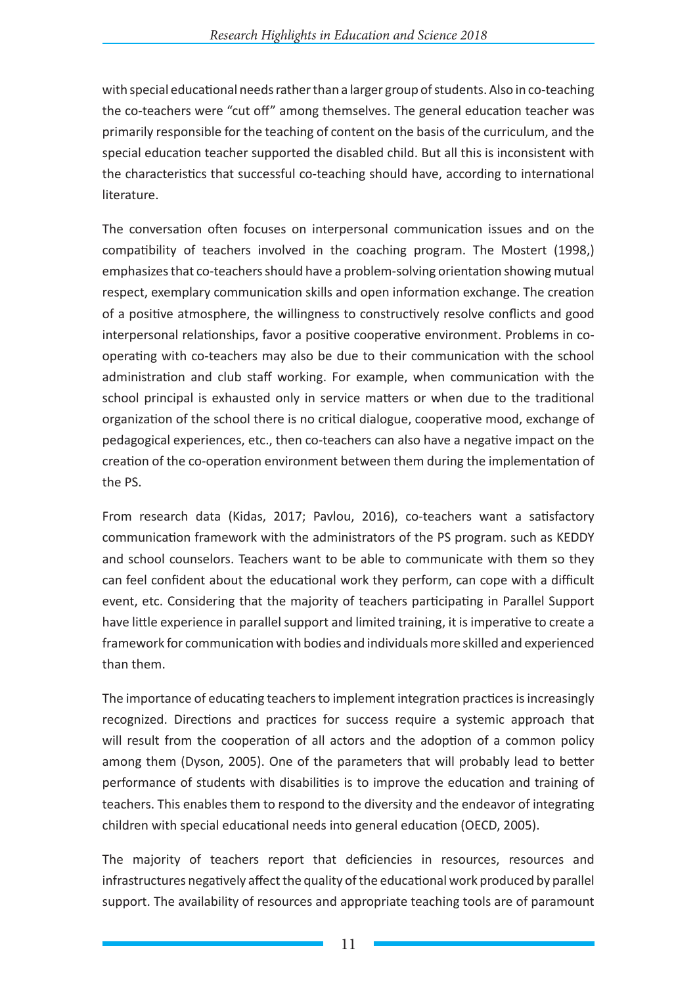with special educational needs rather than a larger group of students. Also in co-teaching the co-teachers were "cut off" among themselves. The general education teacher was primarily responsible for the teaching of content on the basis of the curriculum, and the special education teacher supported the disabled child. But all this is inconsistent with the characteristics that successful co-teaching should have, according to international literature.

The conversation often focuses on interpersonal communication issues and on the compatibility of teachers involved in the coaching program. The Mostert (1998,) emphasizes that co-teachers should have a problem-solving orientation showing mutual respect, exemplary communication skills and open information exchange. The creation of a positive atmosphere, the willingness to constructively resolve conflicts and good interpersonal relationships, favor a positive cooperative environment. Problems in cooperating with co-teachers may also be due to their communication with the school administration and club staff working. For example, when communication with the school principal is exhausted only in service matters or when due to the traditional organization of the school there is no critical dialogue, cooperative mood, exchange of pedagogical experiences, etc., then co-teachers can also have a negative impact on the creation of the co-operation environment between them during the implementation of the PS.

From research data (Kidas, 2017; Pavlou, 2016), co-teachers want a satisfactory communication framework with the administrators of the PS program. such as KEDDY and school counselors. Teachers want to be able to communicate with them so they can feel confident about the educational work they perform, can cope with a difficult event, etc. Considering that the majority of teachers participating in Parallel Support have little experience in parallel support and limited training, it is imperative to create a framework for communication with bodies and individuals more skilled and experienced than them.

The importance of educating teachers to implement integration practices is increasingly recognized. Directions and practices for success require a systemic approach that will result from the cooperation of all actors and the adoption of a common policy among them (Dyson, 2005). One of the parameters that will probably lead to better performance of students with disabilities is to improve the education and training of teachers. This enables them to respond to the diversity and the endeavor of integrating children with special educational needs into general education (OECD, 2005).

The majority of teachers report that deficiencies in resources, resources and infrastructures negatively affect the quality of the educational work produced by parallel support. The availability of resources and appropriate teaching tools are of paramount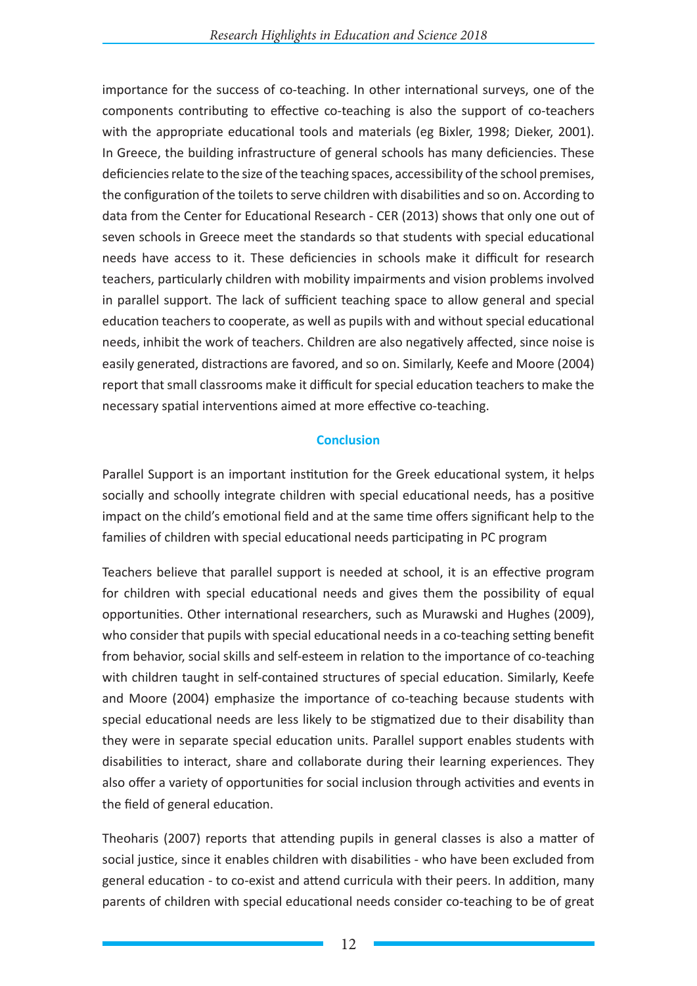importance for the success of co-teaching. In other international surveys, one of the components contributing to effective co-teaching is also the support of co-teachers with the appropriate educational tools and materials (eg Bixler, 1998; Dieker, 2001). In Greece, the building infrastructure of general schools has many deficiencies. These deficiencies relate to the size of the teaching spaces, accessibility of the school premises, the configuration of the toilets to serve children with disabilities and so on. According to data from the Center for Educational Research - CER (2013) shows that only one out of seven schools in Greece meet the standards so that students with special educational needs have access to it. These deficiencies in schools make it difficult for research teachers, particularly children with mobility impairments and vision problems involved in parallel support. The lack of sufficient teaching space to allow general and special education teachers to cooperate, as well as pupils with and without special educational needs, inhibit the work of teachers. Children are also negatively affected, since noise is easily generated, distractions are favored, and so on. Similarly, Keefe and Moore (2004) report that small classrooms make it difficult for special education teachers to make the necessary spatial interventions aimed at more effective co-teaching.

#### **Conclusion**

Parallel Support is an important institution for the Greek educational system, it helps socially and schoolly integrate children with special educational needs, has a positive impact on the child's emotional field and at the same time offers significant help to the families of children with special educational needs participating in PC program

Teachers believe that parallel support is needed at school, it is an effective program for children with special educational needs and gives them the possibility of equal opportunities. Other international researchers, such as Murawski and Hughes (2009), who consider that pupils with special educational needs in a co-teaching setting benefit from behavior, social skills and self-esteem in relation to the importance of co-teaching with children taught in self-contained structures of special education. Similarly, Keefe and Moore (2004) emphasize the importance of co-teaching because students with special educational needs are less likely to be stigmatized due to their disability than they were in separate special education units. Parallel support enables students with disabilities to interact, share and collaborate during their learning experiences. They also offer a variety of opportunities for social inclusion through activities and events in the field of general education.

Theoharis (2007) reports that attending pupils in general classes is also a matter of social justice, since it enables children with disabilities - who have been excluded from general education - to co-exist and attend curricula with their peers. In addition, many parents of children with special educational needs consider co-teaching to be of great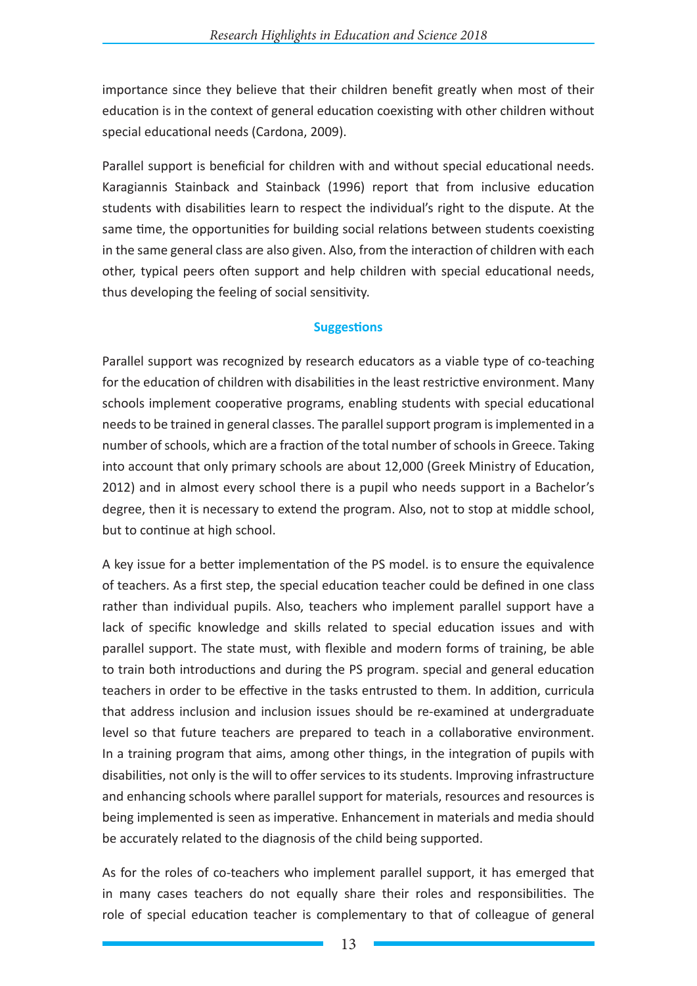importance since they believe that their children benefit greatly when most of their education is in the context of general education coexisting with other children without special educational needs (Cardona, 2009).

Parallel support is beneficial for children with and without special educational needs. Karagiannis Stainback and Stainback (1996) report that from inclusive education students with disabilities learn to respect the individual's right to the dispute. At the same time, the opportunities for building social relations between students coexisting in the same general class are also given. Also, from the interaction of children with each other, typical peers often support and help children with special educational needs, thus developing the feeling of social sensitivity.

#### **Suggestions**

Parallel support was recognized by research educators as a viable type of co-teaching for the education of children with disabilities in the least restrictive environment. Many schools implement cooperative programs, enabling students with special educational needs to be trained in general classes. The parallel support program is implemented in a number of schools, which are a fraction of the total number of schools in Greece. Taking into account that only primary schools are about 12,000 (Greek Ministry of Education, 2012) and in almost every school there is a pupil who needs support in a Bachelor's degree, then it is necessary to extend the program. Also, not to stop at middle school, but to continue at high school.

A key issue for a better implementation of the PS model. is to ensure the equivalence of teachers. As a first step, the special education teacher could be defined in one class rather than individual pupils. Also, teachers who implement parallel support have a lack of specific knowledge and skills related to special education issues and with parallel support. The state must, with flexible and modern forms of training, be able to train both introductions and during the PS program. special and general education teachers in order to be effective in the tasks entrusted to them. In addition, curricula that address inclusion and inclusion issues should be re-examined at undergraduate level so that future teachers are prepared to teach in a collaborative environment. In a training program that aims, among other things, in the integration of pupils with disabilities, not only is the will to offer services to its students. Improving infrastructure and enhancing schools where parallel support for materials, resources and resources is being implemented is seen as imperative. Enhancement in materials and media should be accurately related to the diagnosis of the child being supported.

As for the roles of co-teachers who implement parallel support, it has emerged that in many cases teachers do not equally share their roles and responsibilities. The role of special education teacher is complementary to that of colleague of general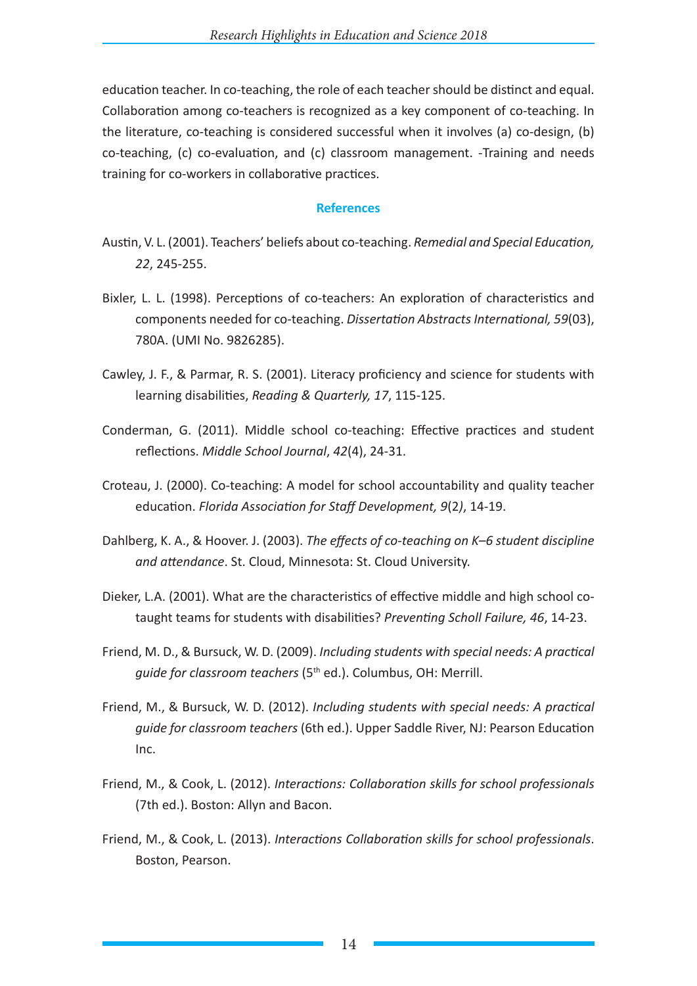education teacher. In co-teaching, the role of each teacher should be distinct and equal. Collaboration among co-teachers is recognized as a key component of co-teaching. In the literature, co-teaching is considered successful when it involves (a) co-design, (b) co-teaching, (c) co-evaluation, and (c) classroom management. -Training and needs training for co-workers in collaborative practices.

#### **References**

- Austin, V. L. (2001). Teachers' beliefs about co-teaching. *Remedial and Special Education, 22*, 245-255.
- Bixler, L. L. (1998). Perceptions of co-teachers: An exploration of characteristics and components needed for co-teaching. *Dissertation Abstracts International, 59*(03), 780A. (UMI No. 9826285).
- Cawley, J. F., & Parmar, R. S. (2001). Literacy proficiency and science for students with learning disabilities, *Reading & Quarterly, 17*, 115-125.
- Conderman, G. (2011). Middle school co-teaching: Effective practices and student reflections. *Middle School Journal*, *42*(4), 24-31.
- Croteau, J. (2000). Co-teaching: A model for school accountability and quality teacher education. *Florida Association for Staff Development, 9*(2*)*, 14-19.
- Dahlberg, K. A., & Hoover. J. (2003). *The effects of co-teaching on K–6 student discipline and attendance*. St. Cloud, Minnesota: St. Cloud University.
- Dieker, L.A. (2001). What are the characteristics of effective middle and high school cotaught teams for students with disabilities? *Preventing Scholl Failure, 46*, 14-23.
- Friend, M. D., & Bursuck, W. D. (2009). *Including students with special needs: A practical guide for classroom teachers* (5<sup>th</sup> ed.). Columbus, OH: Merrill.
- Friend, M., & Bursuck, W. D. (2012). *Including students with special needs: A practical guide for classroom teachers* (6th ed.). Upper Saddle River, NJ: Pearson Education Inc.
- Friend, M., & Cook, L. (2012). *Interactions: Collaboration skills for school professionals*  (7th ed.). Boston: Allyn and Bacon.
- Friend, M., & Cook, L. (2013). *Interactions Collaboration skills for school professionals*. Boston, Pearson.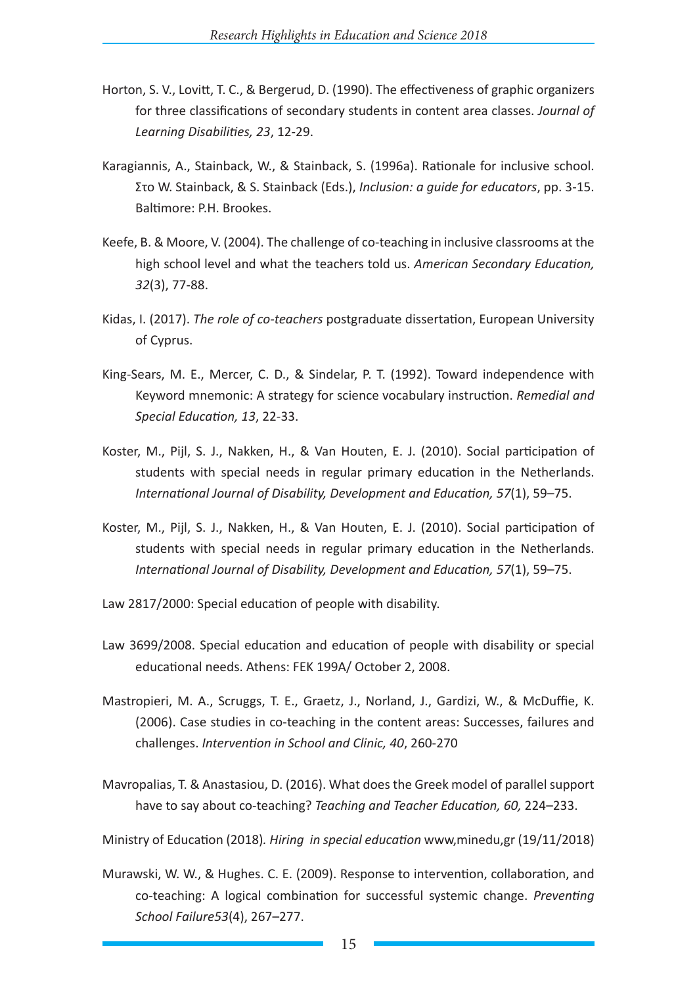- Horton, S. V., Lovitt, T. C., & Bergerud, D. (1990). The effectiveness of graphic organizers for three classifications of secondary students in content area classes. *Journal of Learning Disabilities, 23*, 12-29.
- Karagiannis, A., Stainback, W., & Stainback, S. (1996a). Rationale for inclusive school. Στο W. Stainback, & S. Stainback (Eds.), *Inclusion: a guide for educators*, pp. 3-15. Baltimore: P.H. Brookes.
- Keefe, B. & Moore, V. (2004). The challenge of co-teaching in inclusive classrooms at the high school level and what the teachers told us. *American Secondary Education, 32*(3), 77-88.
- Kidas, I. (2017). *The role of co-teachers* postgraduate dissertation, European University of Cyprus.
- King-Sears, M. E., Mercer, C. D., & Sindelar, P. T. (1992). Toward independence with Keyword mnemonic: A strategy for science vocabulary instruction. *Remedial and Special Education, 13*, 22-33.
- Koster, M., Pijl, S. J., Nakken, H., & Van Houten, E. J. (2010). Social participation of students with special needs in regular primary education in the Netherlands. *International Journal of Disability, Development and Education, 57*(1), 59–75.
- Koster, M., Pijl, S. J., Nakken, H., & Van Houten, E. J. (2010). Social participation of students with special needs in regular primary education in the Netherlands. *International Journal of Disability, Development and Education, 57*(1), 59–75.
- Law 2817/2000: Special education of people with disability.
- Law 3699/2008. Special education and education of people with disability or special educational needs. Athens: FEK 199A/ October 2, 2008.
- Mastropieri, M. A., Scruggs, T. E., Graetz, J., Norland, J., Gardizi, W., & McDuffie, K. (2006). Case studies in co-teaching in the content areas: Successes, failures and challenges. *Intervention in School and Clinic, 40*, 260-270
- Mavropalias, T. & Anastasiou, D. (2016). What does the Greek model of parallel support have to say about co-teaching? *Teaching and Teacher Education, 60,* 224–233.

Ministry of Education (2018)*. Hiring in special education* www,minedu,gr (19/11/2018)

Murawski, W. W., & Hughes. C. E. (2009). Response to intervention, collaboration, and co-teaching: A logical combination for successful systemic change. *Preventing School Failure53*(4), 267–277.